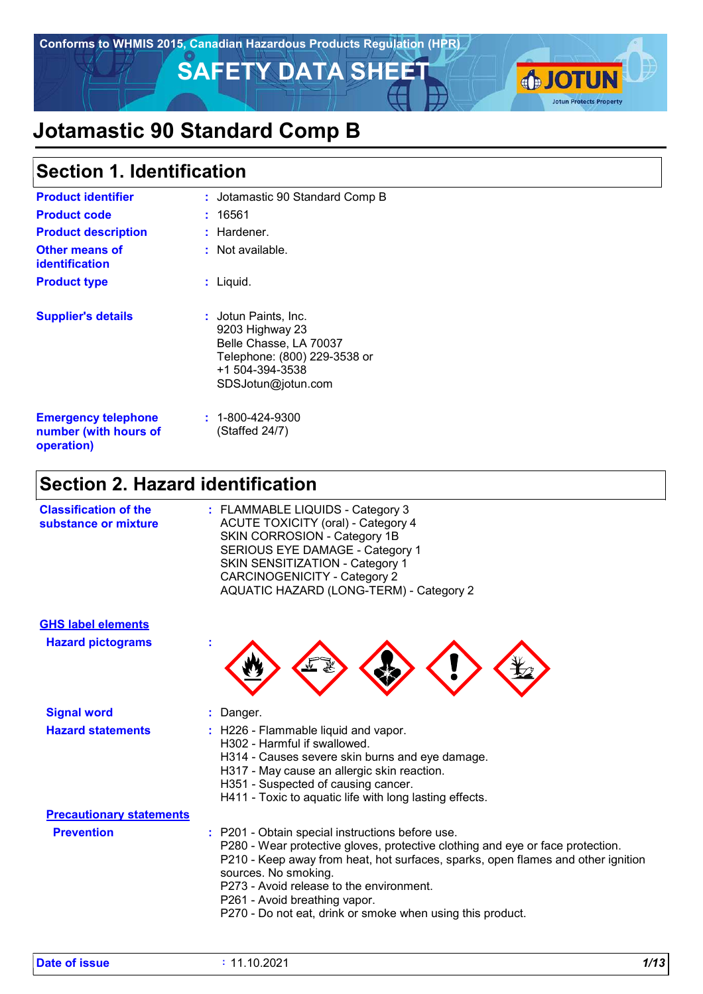

# **Jotamastic 90 Standard Comp B**

### **Section 1. Identification**

| <b>Product identifier</b>                                         | : Jotamastic 90 Standard Comp B                                                                                                            |
|-------------------------------------------------------------------|--------------------------------------------------------------------------------------------------------------------------------------------|
| <b>Product code</b>                                               | : 16561                                                                                                                                    |
| <b>Product description</b>                                        | $:$ Hardener.                                                                                                                              |
| <b>Other means of</b><br><b>identification</b>                    | $:$ Not available.                                                                                                                         |
| <b>Product type</b>                                               | : Liquid.                                                                                                                                  |
| <b>Supplier's details</b>                                         | : Jotun Paints, Inc.<br>9203 Highway 23<br>Belle Chasse, LA 70037<br>Telephone: (800) 229-3538 or<br>+1 504-394-3538<br>SDSJotun@jotun.com |
| <b>Emergency telephone</b><br>number (with hours of<br>operation) | $: 1 - 800 - 424 - 9300$<br>(Staffed 24/7)                                                                                                 |

# **Section 2. Hazard identification**

| <b>Classification of the</b><br>substance or mixture | : FLAMMABLE LIQUIDS - Category 3<br><b>ACUTE TOXICITY (oral) - Category 4</b><br>SKIN CORROSION - Category 1B<br>SERIOUS EYE DAMAGE - Category 1<br>SKIN SENSITIZATION - Category 1<br><b>CARCINOGENICITY - Category 2</b><br>AQUATIC HAZARD (LONG-TERM) - Category 2 |  |
|------------------------------------------------------|-----------------------------------------------------------------------------------------------------------------------------------------------------------------------------------------------------------------------------------------------------------------------|--|
| <b>GHS label elements</b>                            |                                                                                                                                                                                                                                                                       |  |



| <b>Signal word</b>              | $:$ Danger.                                                                                                                                                                                                                                                                                                                                                                               |
|---------------------------------|-------------------------------------------------------------------------------------------------------------------------------------------------------------------------------------------------------------------------------------------------------------------------------------------------------------------------------------------------------------------------------------------|
| <b>Hazard statements</b>        | $\therefore$ H226 - Flammable liquid and vapor.<br>H302 - Harmful if swallowed.<br>H314 - Causes severe skin burns and eye damage.<br>H317 - May cause an allergic skin reaction.<br>H351 - Suspected of causing cancer.<br>H411 - Toxic to aquatic life with long lasting effects.                                                                                                       |
| <b>Precautionary statements</b> |                                                                                                                                                                                                                                                                                                                                                                                           |
| <b>Prevention</b>               | : P201 - Obtain special instructions before use.<br>P280 - Wear protective gloves, protective clothing and eye or face protection.<br>P210 - Keep away from heat, hot surfaces, sparks, open flames and other ignition<br>sources. No smoking.<br>P273 - Avoid release to the environment.<br>P261 - Avoid breathing vapor.<br>P270 - Do not eat, drink or smoke when using this product. |

**Hazard pictograms :**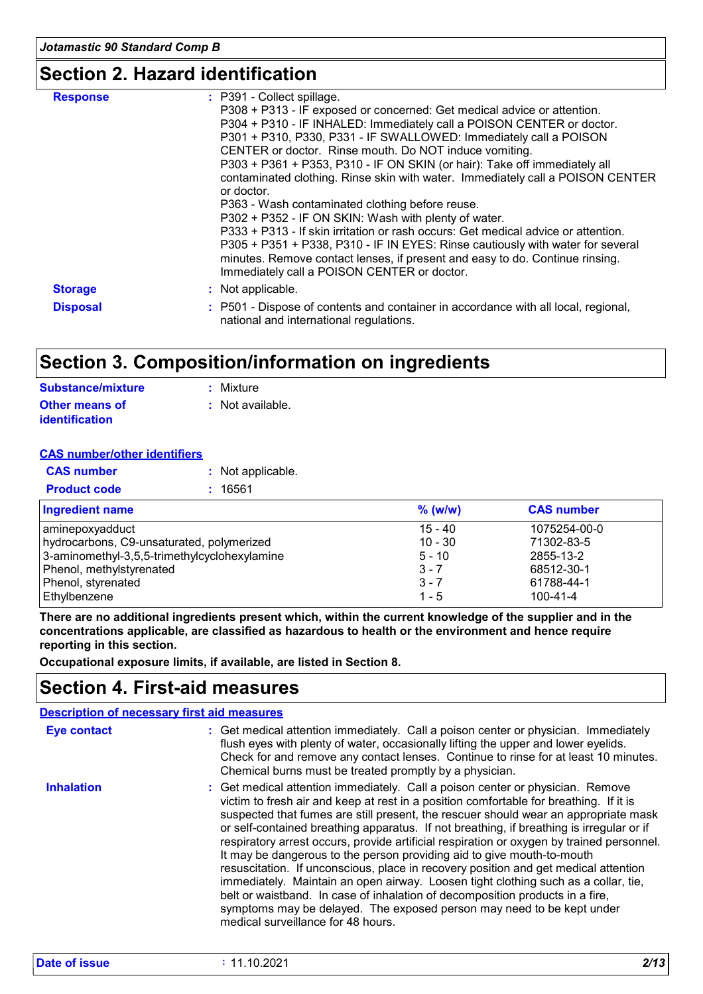### **Section 2. Hazard identification**

| <b>Response</b> | : P391 - Collect spillage.<br>P308 + P313 - IF exposed or concerned: Get medical advice or attention.<br>P304 + P310 - IF INHALED: Immediately call a POISON CENTER or doctor.<br>P301 + P310, P330, P331 - IF SWALLOWED: Immediately call a POISON<br>CENTER or doctor. Rinse mouth. Do NOT induce vomiting.<br>P303 + P361 + P353, P310 - IF ON SKIN (or hair): Take off immediately all<br>contaminated clothing. Rinse skin with water. Immediately call a POISON CENTER<br>or doctor.<br>P363 - Wash contaminated clothing before reuse.<br>P302 + P352 - IF ON SKIN: Wash with plenty of water. |
|-----------------|-------------------------------------------------------------------------------------------------------------------------------------------------------------------------------------------------------------------------------------------------------------------------------------------------------------------------------------------------------------------------------------------------------------------------------------------------------------------------------------------------------------------------------------------------------------------------------------------------------|
|                 | P333 + P313 - If skin irritation or rash occurs: Get medical advice or attention.<br>P305 + P351 + P338, P310 - IF IN EYES: Rinse cautiously with water for several<br>minutes. Remove contact lenses, if present and easy to do. Continue rinsing.<br>Immediately call a POISON CENTER or doctor.                                                                                                                                                                                                                                                                                                    |
| <b>Storage</b>  | : Not applicable.                                                                                                                                                                                                                                                                                                                                                                                                                                                                                                                                                                                     |
| <b>Disposal</b> | : P501 - Dispose of contents and container in accordance with all local, regional,<br>national and international regulations.                                                                                                                                                                                                                                                                                                                                                                                                                                                                         |

### **Section 3. Composition/information on ingredients**

| <b>Substance/mixture</b> | : Mixture        |
|--------------------------|------------------|
| <b>Other means of</b>    | : Not available. |
| <b>identification</b>    |                  |

#### **CAS number/other identifiers**

| <b>CAS number</b>   | : Not applicable. |
|---------------------|-------------------|
| <b>Product code</b> | : 16561           |

| <b>Ingredient name</b>                       | $%$ (w/w) | <b>CAS number</b> |
|----------------------------------------------|-----------|-------------------|
| aminepoxyadduct                              | $15 - 40$ | 1075254-00-0      |
| hydrocarbons, C9-unsaturated, polymerized    | $10 - 30$ | 71302-83-5        |
| 3-aminomethyl-3,5,5-trimethylcyclohexylamine | $5 - 10$  | 2855-13-2         |
| Phenol, methylstyrenated                     | $3 - 7$   | 68512-30-1        |
| Phenol, styrenated                           | $3 - 7$   | 61788-44-1        |
| Ethylbenzene                                 | $1 - 5$   | 100-41-4          |

**There are no additional ingredients present which, within the current knowledge of the supplier and in the concentrations applicable, are classified as hazardous to health or the environment and hence require reporting in this section.**

**Occupational exposure limits, if available, are listed in Section 8.**

### **Section 4. First-aid measures**

|                    | <b>Description of necessary first aid measures</b>                                                                                                                                                                                                                                                                                                                                                                                                                                                                                                                                                                                                                                                                                                                                                                                                                                                              |
|--------------------|-----------------------------------------------------------------------------------------------------------------------------------------------------------------------------------------------------------------------------------------------------------------------------------------------------------------------------------------------------------------------------------------------------------------------------------------------------------------------------------------------------------------------------------------------------------------------------------------------------------------------------------------------------------------------------------------------------------------------------------------------------------------------------------------------------------------------------------------------------------------------------------------------------------------|
| <b>Eye contact</b> | : Get medical attention immediately. Call a poison center or physician. Immediately<br>flush eyes with plenty of water, occasionally lifting the upper and lower eyelids.<br>Check for and remove any contact lenses. Continue to rinse for at least 10 minutes.<br>Chemical burns must be treated promptly by a physician.                                                                                                                                                                                                                                                                                                                                                                                                                                                                                                                                                                                     |
| <b>Inhalation</b>  | : Get medical attention immediately. Call a poison center or physician. Remove<br>victim to fresh air and keep at rest in a position comfortable for breathing. If it is<br>suspected that fumes are still present, the rescuer should wear an appropriate mask<br>or self-contained breathing apparatus. If not breathing, if breathing is irregular or if<br>respiratory arrest occurs, provide artificial respiration or oxygen by trained personnel.<br>It may be dangerous to the person providing aid to give mouth-to-mouth<br>resuscitation. If unconscious, place in recovery position and get medical attention<br>immediately. Maintain an open airway. Loosen tight clothing such as a collar, tie,<br>belt or waistband. In case of inhalation of decomposition products in a fire,<br>symptoms may be delayed. The exposed person may need to be kept under<br>medical surveillance for 48 hours. |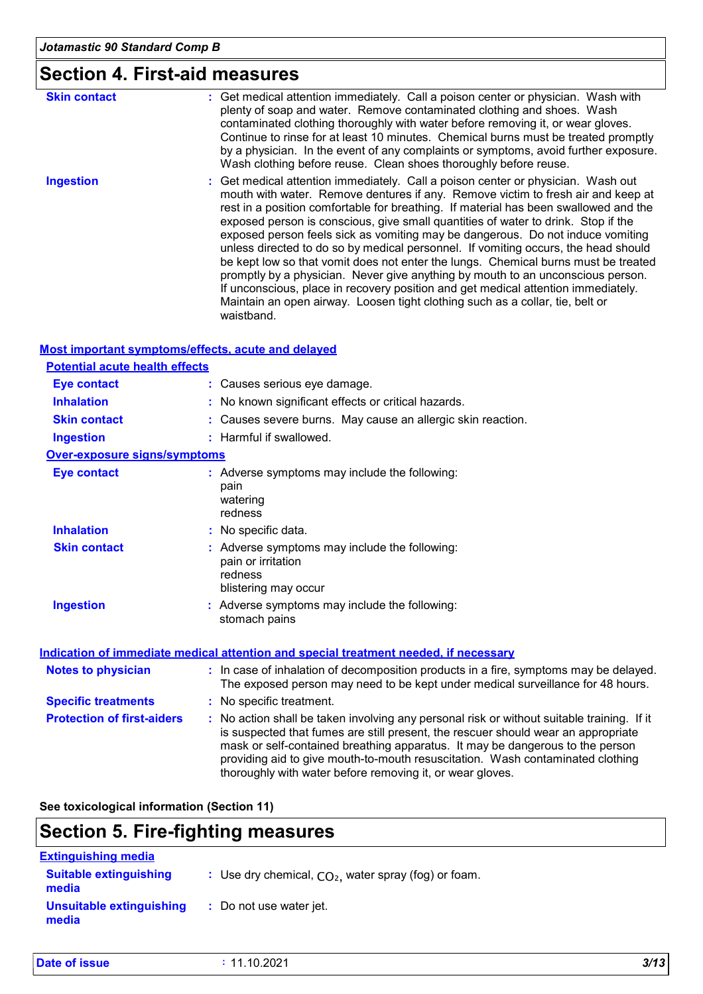# **Section 4. First-aid measures**

| <b>Skin contact</b> | : Get medical attention immediately. Call a poison center or physician. Wash with<br>plenty of soap and water. Remove contaminated clothing and shoes. Wash<br>contaminated clothing thoroughly with water before removing it, or wear gloves.<br>Continue to rinse for at least 10 minutes. Chemical burns must be treated promptly<br>by a physician. In the event of any complaints or symptoms, avoid further exposure.<br>Wash clothing before reuse. Clean shoes thoroughly before reuse.                                                                                                                                                                                                                                                                                                                                                                                        |  |
|---------------------|----------------------------------------------------------------------------------------------------------------------------------------------------------------------------------------------------------------------------------------------------------------------------------------------------------------------------------------------------------------------------------------------------------------------------------------------------------------------------------------------------------------------------------------------------------------------------------------------------------------------------------------------------------------------------------------------------------------------------------------------------------------------------------------------------------------------------------------------------------------------------------------|--|
| <b>Ingestion</b>    | : Get medical attention immediately. Call a poison center or physician. Wash out<br>mouth with water. Remove dentures if any. Remove victim to fresh air and keep at<br>rest in a position comfortable for breathing. If material has been swallowed and the<br>exposed person is conscious, give small quantities of water to drink. Stop if the<br>exposed person feels sick as vomiting may be dangerous. Do not induce vomiting<br>unless directed to do so by medical personnel. If vomiting occurs, the head should<br>be kept low so that vomit does not enter the lungs. Chemical burns must be treated<br>promptly by a physician. Never give anything by mouth to an unconscious person.<br>If unconscious, place in recovery position and get medical attention immediately.<br>Maintain an open airway. Loosen tight clothing such as a collar, tie, belt or<br>waistband. |  |

#### **Most important symptoms/effects, acute and delayed**

| <b>Potential acute health effects</b> |                                                                                                                                                                                                                                                                                                                                                                                                                 |
|---------------------------------------|-----------------------------------------------------------------------------------------------------------------------------------------------------------------------------------------------------------------------------------------------------------------------------------------------------------------------------------------------------------------------------------------------------------------|
| <b>Eye contact</b>                    | : Causes serious eye damage.                                                                                                                                                                                                                                                                                                                                                                                    |
| <b>Inhalation</b>                     | : No known significant effects or critical hazards.                                                                                                                                                                                                                                                                                                                                                             |
| <b>Skin contact</b>                   | : Causes severe burns. May cause an allergic skin reaction.                                                                                                                                                                                                                                                                                                                                                     |
| <b>Ingestion</b>                      | : Harmful if swallowed.                                                                                                                                                                                                                                                                                                                                                                                         |
| <b>Over-exposure signs/symptoms</b>   |                                                                                                                                                                                                                                                                                                                                                                                                                 |
| <b>Eye contact</b>                    | : Adverse symptoms may include the following:<br>pain<br>watering<br>redness                                                                                                                                                                                                                                                                                                                                    |
| <b>Inhalation</b>                     | : No specific data.                                                                                                                                                                                                                                                                                                                                                                                             |
| <b>Skin contact</b>                   | : Adverse symptoms may include the following:<br>pain or irritation<br>redness<br>blistering may occur                                                                                                                                                                                                                                                                                                          |
| <b>Ingestion</b>                      | : Adverse symptoms may include the following:<br>stomach pains                                                                                                                                                                                                                                                                                                                                                  |
|                                       | <b>Indication of immediate medical attention and special treatment needed, if necessary</b>                                                                                                                                                                                                                                                                                                                     |
| <b>Notes to physician</b>             | : In case of inhalation of decomposition products in a fire, symptoms may be delayed.<br>The exposed person may need to be kept under medical surveillance for 48 hours.                                                                                                                                                                                                                                        |
| <b>Specific treatments</b>            | : No specific treatment.                                                                                                                                                                                                                                                                                                                                                                                        |
| <b>Protection of first-aiders</b>     | : No action shall be taken involving any personal risk or without suitable training. If it<br>is suspected that fumes are still present, the rescuer should wear an appropriate<br>mask or self-contained breathing apparatus. It may be dangerous to the person<br>providing aid to give mouth-to-mouth resuscitation. Wash contaminated clothing<br>thoroughly with water before removing it, or wear gloves. |

**See toxicological information (Section 11)**

# **Section 5. Fire-fighting measures**

| <b>Extinguishing media</b>             |                                                        |
|----------------------------------------|--------------------------------------------------------|
| <b>Suitable extinguishing</b><br>media | : Use dry chemical, $CO2$ , water spray (fog) or foam. |
| Unsuitable extinguishing<br>media      | : Do not use water jet.                                |

| <b>Date of issue</b> | 11.10.2021 | 3/13 |
|----------------------|------------|------|
|                      |            |      |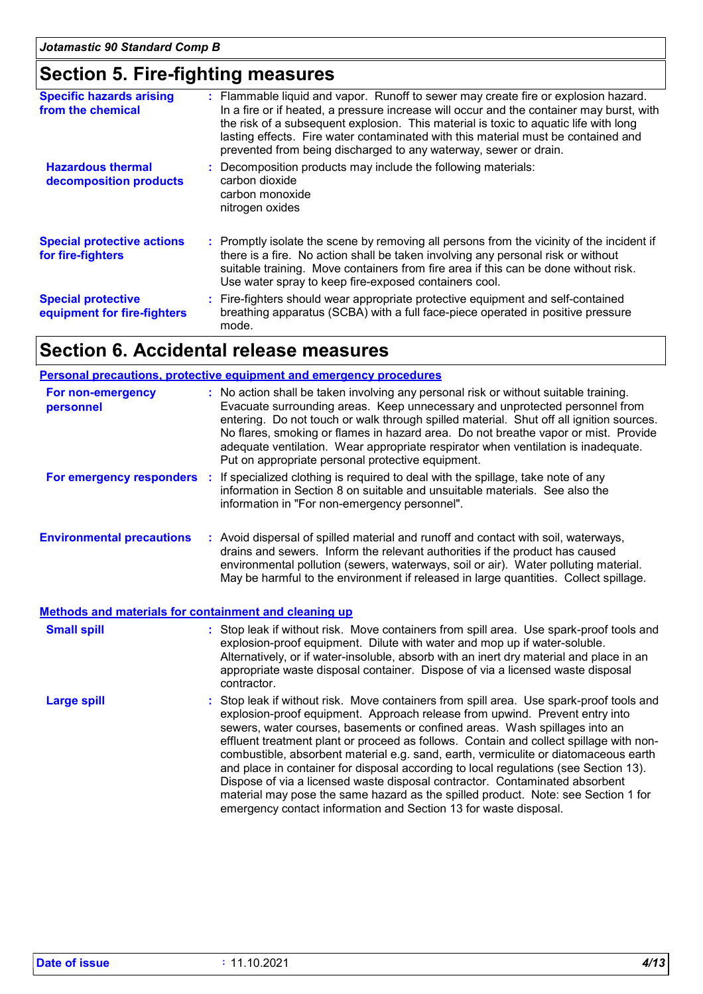### **Section 5. Fire-fighting measures**

| <b>Specific hazards arising</b><br>from the chemical     | : Flammable liquid and vapor. Runoff to sewer may create fire or explosion hazard.<br>In a fire or if heated, a pressure increase will occur and the container may burst, with<br>the risk of a subsequent explosion. This material is toxic to aquatic life with long<br>lasting effects. Fire water contaminated with this material must be contained and<br>prevented from being discharged to any waterway, sewer or drain. |
|----------------------------------------------------------|---------------------------------------------------------------------------------------------------------------------------------------------------------------------------------------------------------------------------------------------------------------------------------------------------------------------------------------------------------------------------------------------------------------------------------|
| <b>Hazardous thermal</b><br>decomposition products       | : Decomposition products may include the following materials:<br>carbon dioxide<br>carbon monoxide<br>nitrogen oxides                                                                                                                                                                                                                                                                                                           |
| <b>Special protective actions</b><br>for fire-fighters   | : Promptly isolate the scene by removing all persons from the vicinity of the incident if<br>there is a fire. No action shall be taken involving any personal risk or without<br>suitable training. Move containers from fire area if this can be done without risk.<br>Use water spray to keep fire-exposed containers cool.                                                                                                   |
| <b>Special protective</b><br>equipment for fire-fighters | : Fire-fighters should wear appropriate protective equipment and self-contained<br>breathing apparatus (SCBA) with a full face-piece operated in positive pressure<br>mode.                                                                                                                                                                                                                                                     |

### **Section 6. Accidental release measures**

|                                                              | <b>Personal precautions, protective equipment and emergency procedures</b>                                                                                                                                                                                                                                                                                                                                                                                                                     |  |  |  |
|--------------------------------------------------------------|------------------------------------------------------------------------------------------------------------------------------------------------------------------------------------------------------------------------------------------------------------------------------------------------------------------------------------------------------------------------------------------------------------------------------------------------------------------------------------------------|--|--|--|
| For non-emergency<br>personnel                               | : No action shall be taken involving any personal risk or without suitable training.<br>Evacuate surrounding areas. Keep unnecessary and unprotected personnel from<br>entering. Do not touch or walk through spilled material. Shut off all ignition sources.<br>No flares, smoking or flames in hazard area. Do not breathe vapor or mist. Provide<br>adequate ventilation. Wear appropriate respirator when ventilation is inadequate.<br>Put on appropriate personal protective equipment. |  |  |  |
| For emergency responders                                     | : If specialized clothing is required to deal with the spillage, take note of any<br>information in Section 8 on suitable and unsuitable materials. See also the<br>information in "For non-emergency personnel".                                                                                                                                                                                                                                                                              |  |  |  |
| <b>Environmental precautions</b>                             | : Avoid dispersal of spilled material and runoff and contact with soil, waterways,<br>drains and sewers. Inform the relevant authorities if the product has caused<br>environmental pollution (sewers, waterways, soil or air). Water polluting material.<br>May be harmful to the environment if released in large quantities. Collect spillage.                                                                                                                                              |  |  |  |
| <b>Methods and materials for containment and cleaning up</b> |                                                                                                                                                                                                                                                                                                                                                                                                                                                                                                |  |  |  |
| <b>Small spill</b>                                           | : Stop leak if without risk. Move containers from spill area. Use spark-proof tools and<br>explosion-proof equipment. Dilute with water and mop up if water-soluble.<br>Alternatively, or if water-insoluble, absorb with an inert dry material and place in an<br>appropriate waste disposal container. Dispose of via a licensed waste disposal<br>contractor.                                                                                                                               |  |  |  |
| <b>Large spill</b>                                           | : Stop leak if without risk. Move containers from spill area. Use spark-proof tools and                                                                                                                                                                                                                                                                                                                                                                                                        |  |  |  |

explosion-proof equipment. Approach release from upwind. Prevent entry into sewers, water courses, basements or confined areas. Wash spillages into an effluent treatment plant or proceed as follows. Contain and collect spillage with noncombustible, absorbent material e.g. sand, earth, vermiculite or diatomaceous earth and place in container for disposal according to local regulations (see Section 13). Dispose of via a licensed waste disposal contractor. Contaminated absorbent material may pose the same hazard as the spilled product. Note: see Section 1 for emergency contact information and Section 13 for waste disposal.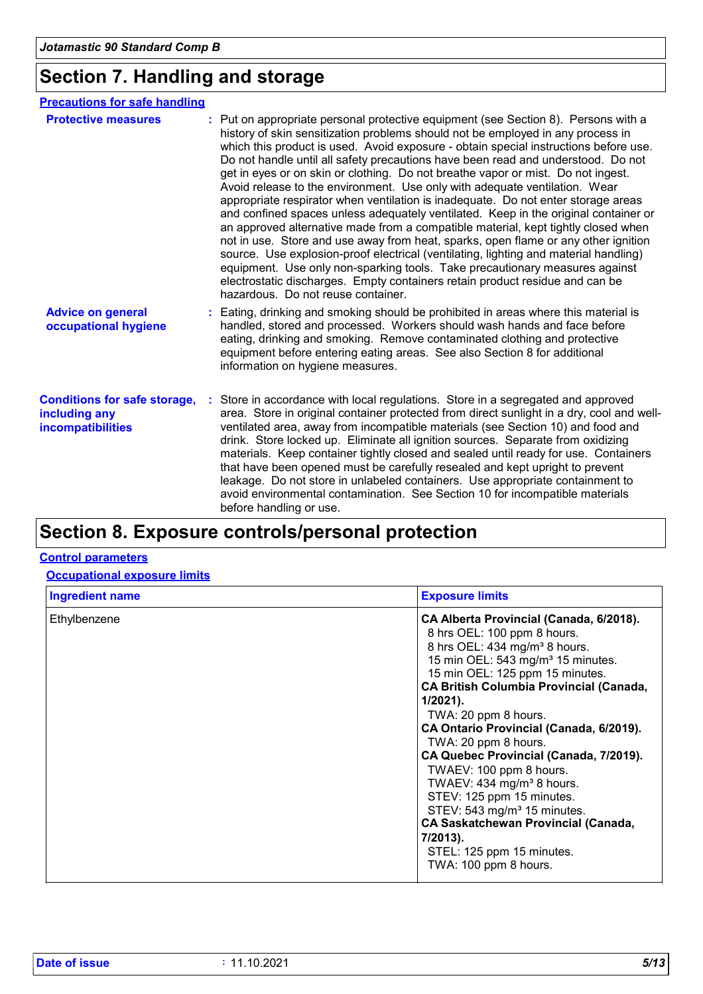# **Section 7. Handling and storage**

| <b>Precautions for safe handling</b>                                      |                                                                                                                                                                                                                                                                                                                                                                                                                                                                                                                                                                                                                                                                                                                                                                                                                                                                                                                                                                                                                                                                                                                                                                         |
|---------------------------------------------------------------------------|-------------------------------------------------------------------------------------------------------------------------------------------------------------------------------------------------------------------------------------------------------------------------------------------------------------------------------------------------------------------------------------------------------------------------------------------------------------------------------------------------------------------------------------------------------------------------------------------------------------------------------------------------------------------------------------------------------------------------------------------------------------------------------------------------------------------------------------------------------------------------------------------------------------------------------------------------------------------------------------------------------------------------------------------------------------------------------------------------------------------------------------------------------------------------|
| <b>Protective measures</b>                                                | : Put on appropriate personal protective equipment (see Section 8). Persons with a<br>history of skin sensitization problems should not be employed in any process in<br>which this product is used. Avoid exposure - obtain special instructions before use.<br>Do not handle until all safety precautions have been read and understood. Do not<br>get in eyes or on skin or clothing. Do not breathe vapor or mist. Do not ingest.<br>Avoid release to the environment. Use only with adequate ventilation. Wear<br>appropriate respirator when ventilation is inadequate. Do not enter storage areas<br>and confined spaces unless adequately ventilated. Keep in the original container or<br>an approved alternative made from a compatible material, kept tightly closed when<br>not in use. Store and use away from heat, sparks, open flame or any other ignition<br>source. Use explosion-proof electrical (ventilating, lighting and material handling)<br>equipment. Use only non-sparking tools. Take precautionary measures against<br>electrostatic discharges. Empty containers retain product residue and can be<br>hazardous. Do not reuse container. |
| <b>Advice on general</b><br>occupational hygiene                          | Eating, drinking and smoking should be prohibited in areas where this material is<br>handled, stored and processed. Workers should wash hands and face before<br>eating, drinking and smoking. Remove contaminated clothing and protective<br>equipment before entering eating areas. See also Section 8 for additional<br>information on hygiene measures.                                                                                                                                                                                                                                                                                                                                                                                                                                                                                                                                                                                                                                                                                                                                                                                                             |
| <b>Conditions for safe storage,</b><br>including any<br>incompatibilities | Store in accordance with local regulations. Store in a segregated and approved<br>area. Store in original container protected from direct sunlight in a dry, cool and well-<br>ventilated area, away from incompatible materials (see Section 10) and food and<br>drink. Store locked up. Eliminate all ignition sources. Separate from oxidizing<br>materials. Keep container tightly closed and sealed until ready for use. Containers<br>that have been opened must be carefully resealed and kept upright to prevent<br>leakage. Do not store in unlabeled containers. Use appropriate containment to<br>avoid environmental contamination. See Section 10 for incompatible materials<br>before handling or use.                                                                                                                                                                                                                                                                                                                                                                                                                                                    |
|                                                                           |                                                                                                                                                                                                                                                                                                                                                                                                                                                                                                                                                                                                                                                                                                                                                                                                                                                                                                                                                                                                                                                                                                                                                                         |

# **Section 8. Exposure controls/personal protection**

#### **Control parameters**

**Occupational exposure limits**

| <b>Ingredient name</b> | <b>Exposure limits</b>                                                                                                                                                                                                                                                                                                                                                                                                                                                                                                                                                                                                                                                    |
|------------------------|---------------------------------------------------------------------------------------------------------------------------------------------------------------------------------------------------------------------------------------------------------------------------------------------------------------------------------------------------------------------------------------------------------------------------------------------------------------------------------------------------------------------------------------------------------------------------------------------------------------------------------------------------------------------------|
| Ethylbenzene           | CA Alberta Provincial (Canada, 6/2018).<br>8 hrs OEL: 100 ppm 8 hours.<br>8 hrs OEL: 434 mg/m <sup>3</sup> 8 hours.<br>15 min OEL: 543 mg/m <sup>3</sup> 15 minutes.<br>15 min OEL: 125 ppm 15 minutes.<br><b>CA British Columbia Provincial (Canada,</b><br>$1/2021$ ).<br>TWA: 20 ppm 8 hours.<br>CA Ontario Provincial (Canada, 6/2019).<br>TWA: 20 ppm 8 hours.<br>CA Quebec Provincial (Canada, 7/2019).<br>TWAEV: 100 ppm 8 hours.<br>TWAEV: 434 mg/m <sup>3</sup> 8 hours.<br>STEV: 125 ppm 15 minutes.<br>STEV: 543 mg/m <sup>3</sup> 15 minutes.<br><b>CA Saskatchewan Provincial (Canada,</b><br>7/2013).<br>STEL: 125 ppm 15 minutes.<br>TWA: 100 ppm 8 hours. |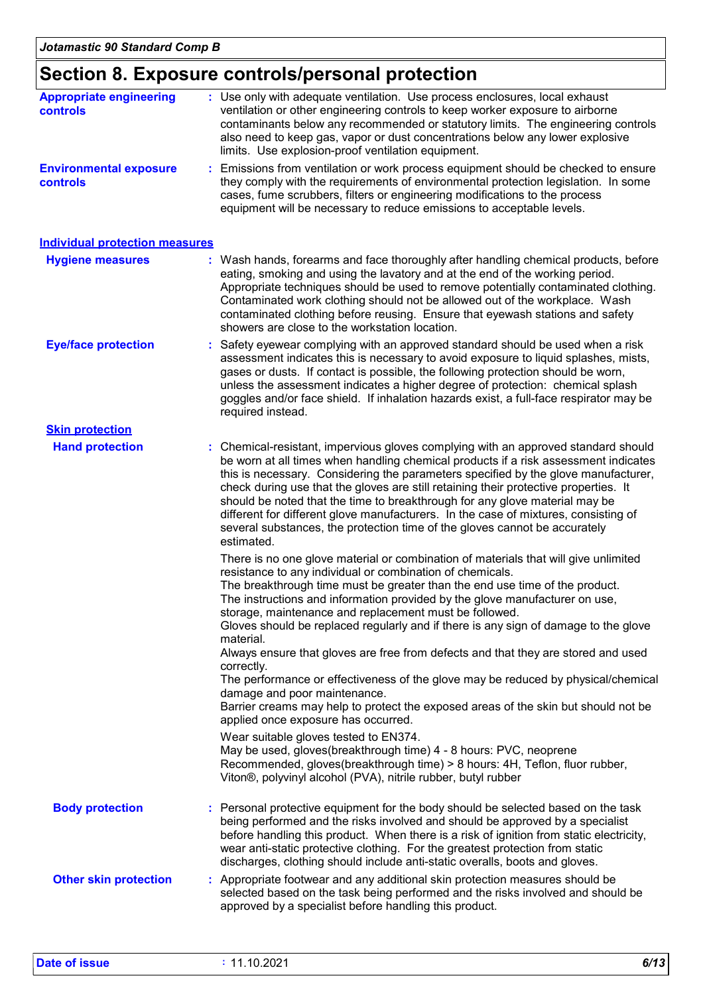# **Section 8. Exposure controls/personal protection**

| <b>Appropriate engineering</b><br>controls       | : Use only with adequate ventilation. Use process enclosures, local exhaust<br>ventilation or other engineering controls to keep worker exposure to airborne<br>contaminants below any recommended or statutory limits. The engineering controls<br>also need to keep gas, vapor or dust concentrations below any lower explosive<br>limits. Use explosion-proof ventilation equipment.                                                                                                                                                                                                                                                                                                                                                    |  |  |  |
|--------------------------------------------------|--------------------------------------------------------------------------------------------------------------------------------------------------------------------------------------------------------------------------------------------------------------------------------------------------------------------------------------------------------------------------------------------------------------------------------------------------------------------------------------------------------------------------------------------------------------------------------------------------------------------------------------------------------------------------------------------------------------------------------------------|--|--|--|
| <b>Environmental exposure</b><br><b>controls</b> | Emissions from ventilation or work process equipment should be checked to ensure<br>they comply with the requirements of environmental protection legislation. In some<br>cases, fume scrubbers, filters or engineering modifications to the process<br>equipment will be necessary to reduce emissions to acceptable levels.                                                                                                                                                                                                                                                                                                                                                                                                              |  |  |  |
| <b>Individual protection measures</b>            |                                                                                                                                                                                                                                                                                                                                                                                                                                                                                                                                                                                                                                                                                                                                            |  |  |  |
| <b>Hygiene measures</b>                          | : Wash hands, forearms and face thoroughly after handling chemical products, before<br>eating, smoking and using the lavatory and at the end of the working period.<br>Appropriate techniques should be used to remove potentially contaminated clothing.<br>Contaminated work clothing should not be allowed out of the workplace. Wash<br>contaminated clothing before reusing. Ensure that eyewash stations and safety<br>showers are close to the workstation location.                                                                                                                                                                                                                                                                |  |  |  |
| <b>Eye/face protection</b>                       | : Safety eyewear complying with an approved standard should be used when a risk<br>assessment indicates this is necessary to avoid exposure to liquid splashes, mists,<br>gases or dusts. If contact is possible, the following protection should be worn,<br>unless the assessment indicates a higher degree of protection: chemical splash<br>goggles and/or face shield. If inhalation hazards exist, a full-face respirator may be<br>required instead.                                                                                                                                                                                                                                                                                |  |  |  |
| <b>Skin protection</b>                           |                                                                                                                                                                                                                                                                                                                                                                                                                                                                                                                                                                                                                                                                                                                                            |  |  |  |
| <b>Hand protection</b>                           | : Chemical-resistant, impervious gloves complying with an approved standard should<br>be worn at all times when handling chemical products if a risk assessment indicates<br>this is necessary. Considering the parameters specified by the glove manufacturer,<br>check during use that the gloves are still retaining their protective properties. It<br>should be noted that the time to breakthrough for any glove material may be<br>different for different glove manufacturers. In the case of mixtures, consisting of<br>several substances, the protection time of the gloves cannot be accurately<br>estimated.<br>There is no one glove material or combination of materials that will give unlimited                           |  |  |  |
|                                                  | resistance to any individual or combination of chemicals.<br>The breakthrough time must be greater than the end use time of the product.<br>The instructions and information provided by the glove manufacturer on use,<br>storage, maintenance and replacement must be followed.<br>Gloves should be replaced regularly and if there is any sign of damage to the glove<br>material.<br>Always ensure that gloves are free from defects and that they are stored and used<br>correctly.<br>The performance or effectiveness of the glove may be reduced by physical/chemical<br>damage and poor maintenance.<br>Barrier creams may help to protect the exposed areas of the skin but should not be<br>applied once exposure has occurred. |  |  |  |
|                                                  | Wear suitable gloves tested to EN374.<br>May be used, gloves(breakthrough time) 4 - 8 hours: PVC, neoprene<br>Recommended, gloves(breakthrough time) > 8 hours: 4H, Teflon, fluor rubber,<br>Viton®, polyvinyl alcohol (PVA), nitrile rubber, butyl rubber                                                                                                                                                                                                                                                                                                                                                                                                                                                                                 |  |  |  |
| <b>Body protection</b>                           | Personal protective equipment for the body should be selected based on the task<br>being performed and the risks involved and should be approved by a specialist<br>before handling this product. When there is a risk of ignition from static electricity,<br>wear anti-static protective clothing. For the greatest protection from static<br>discharges, clothing should include anti-static overalls, boots and gloves.                                                                                                                                                                                                                                                                                                                |  |  |  |
| <b>Other skin protection</b>                     | : Appropriate footwear and any additional skin protection measures should be<br>selected based on the task being performed and the risks involved and should be<br>approved by a specialist before handling this product.                                                                                                                                                                                                                                                                                                                                                                                                                                                                                                                  |  |  |  |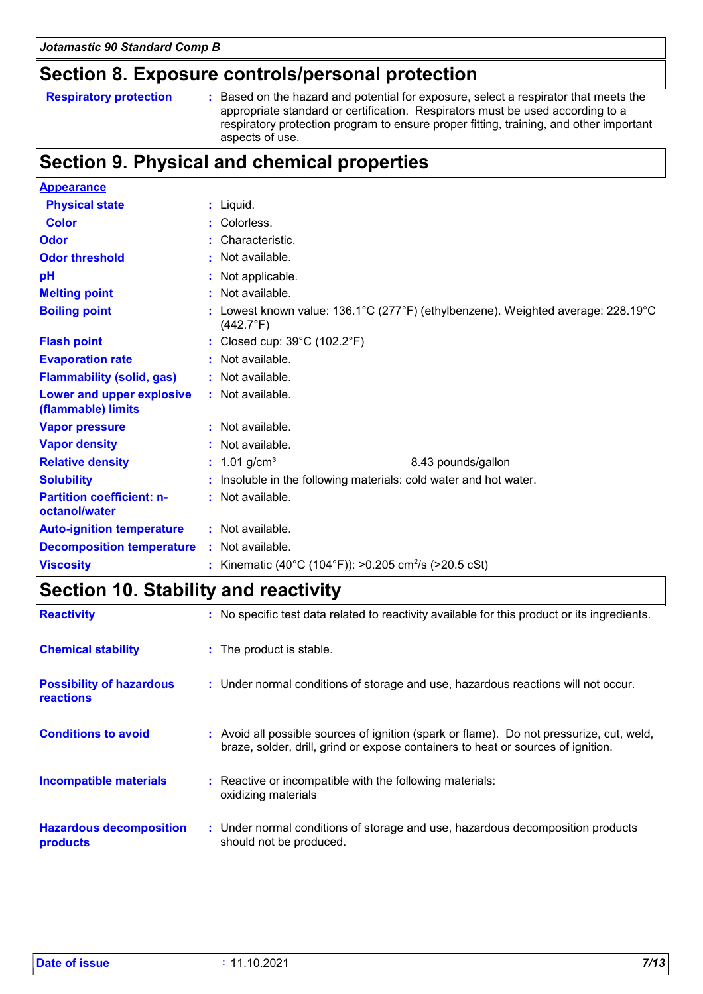### **Section 8. Exposure controls/personal protection**

| <b>Respiratory protection</b> |  |
|-------------------------------|--|
|-------------------------------|--|

**Respiratory protection :** Based on the hazard and potential for exposure, select a respirator that meets the appropriate standard or certification. Respirators must be used according to a respiratory protection program to ensure proper fitting, training, and other important aspects of use.

### **Section 9. Physical and chemical properties**

| <b>Appearance</b>                                 |                                                                                                      |
|---------------------------------------------------|------------------------------------------------------------------------------------------------------|
| <b>Physical state</b>                             | : Liquid.                                                                                            |
| <b>Color</b>                                      | : Colorless.                                                                                         |
| <b>Odor</b>                                       | : Characteristic.                                                                                    |
| <b>Odor threshold</b>                             | : Not available.                                                                                     |
| pH                                                | : Not applicable.                                                                                    |
| <b>Melting point</b>                              | : Not available.                                                                                     |
| <b>Boiling point</b>                              | Lowest known value: 136.1°C (277°F) (ethylbenzene). Weighted average: 228.19°C<br>$(442.7^{\circ}F)$ |
| <b>Flash point</b>                                | : Closed cup: $39^{\circ}$ C (102.2 $^{\circ}$ F)                                                    |
| <b>Evaporation rate</b>                           | : Not available.                                                                                     |
| <b>Flammability (solid, gas)</b>                  | : Not available.                                                                                     |
| Lower and upper explosive<br>(flammable) limits   | : Not available.                                                                                     |
| <b>Vapor pressure</b>                             | : Not available.                                                                                     |
| <b>Vapor density</b>                              | : Not available.                                                                                     |
| <b>Relative density</b>                           | : $1.01$ g/cm <sup>3</sup><br>8.43 pounds/gallon                                                     |
| <b>Solubility</b>                                 | : Insoluble in the following materials: cold water and hot water.                                    |
| <b>Partition coefficient: n-</b><br>octanol/water | : Not available.                                                                                     |
| <b>Auto-ignition temperature</b>                  | : Not available.                                                                                     |
| <b>Decomposition temperature</b>                  | : Not available.                                                                                     |
| <b>Viscosity</b>                                  | : Kinematic (40°C (104°F)): >0.205 cm <sup>2</sup> /s (>20.5 cSt)                                    |

### **Section 10. Stability and reactivity**

| <b>Reactivity</b>                            | : No specific test data related to reactivity available for this product or its ingredients.                                                                                 |
|----------------------------------------------|------------------------------------------------------------------------------------------------------------------------------------------------------------------------------|
| <b>Chemical stability</b>                    | : The product is stable.                                                                                                                                                     |
| <b>Possibility of hazardous</b><br>reactions | : Under normal conditions of storage and use, hazardous reactions will not occur.                                                                                            |
| <b>Conditions to avoid</b>                   | : Avoid all possible sources of ignition (spark or flame). Do not pressurize, cut, weld,<br>braze, solder, drill, grind or expose containers to heat or sources of ignition. |
| <b>Incompatible materials</b>                | : Reactive or incompatible with the following materials:<br>oxidizing materials                                                                                              |
| <b>Hazardous decomposition</b><br>products   | : Under normal conditions of storage and use, hazardous decomposition products<br>should not be produced.                                                                    |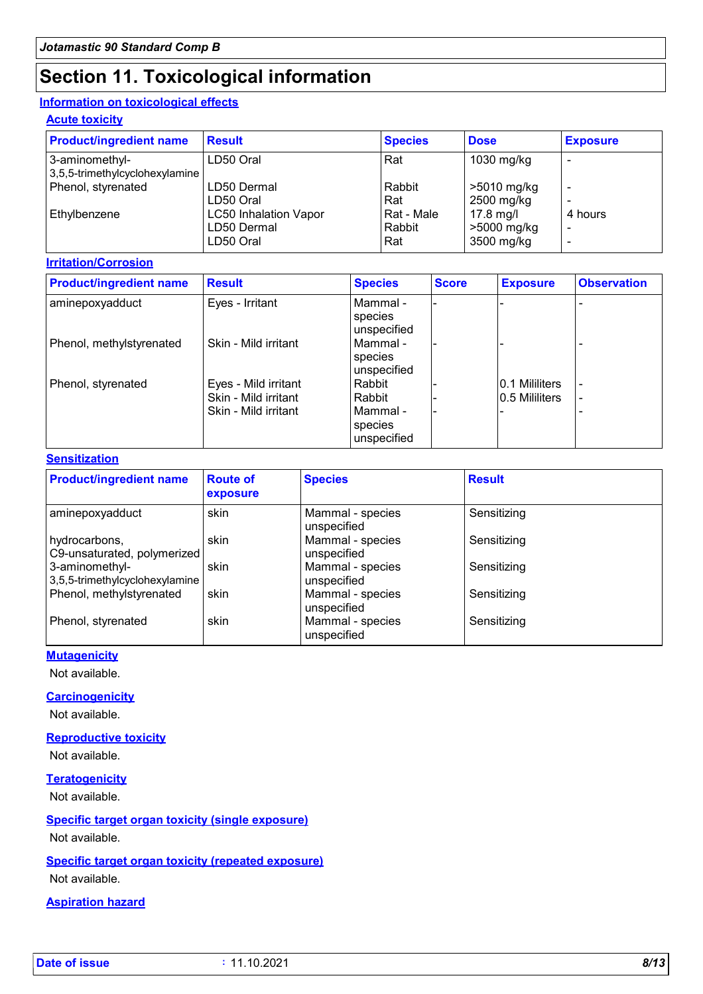# **Section 11. Toxicological information**

#### **Information on toxicological effects**

**Acute toxicity**

| <b>Product/ingredient name</b>                   | <b>Result</b>                                            | <b>Species</b>              | <b>Dose</b>                            | <b>Exposure</b> |
|--------------------------------------------------|----------------------------------------------------------|-----------------------------|----------------------------------------|-----------------|
| 3-aminomethyl-<br>3,5,5-trimethylcyclohexylamine | LD50 Oral                                                | Rat                         | 1030 mg/kg                             |                 |
| Phenol, styrenated                               | LD50 Dermal<br>LD50 Oral                                 | Rabbit<br>Rat               | >5010 mg/kg<br>2500 mg/kg              |                 |
| Ethylbenzene                                     | <b>LC50 Inhalation Vapor</b><br>LD50 Dermal<br>LD50 Oral | Rat - Male<br>Rabbit<br>Rat | 17.8 mg/l<br>>5000 mg/kg<br>3500 mg/kg | 4 hours         |

#### **Irritation/Corrosion**

| <b>Product/ingredient name</b> | <b>Result</b>        | <b>Species</b> | <b>Score</b> | <b>Exposure</b> | <b>Observation</b> |
|--------------------------------|----------------------|----------------|--------------|-----------------|--------------------|
| aminepoxyadduct                | Eyes - Irritant      | Mammal -       |              |                 |                    |
|                                |                      | species        |              |                 |                    |
|                                |                      | unspecified    |              |                 |                    |
| Phenol, methylstyrenated       | Skin - Mild irritant | Mammal -       |              |                 |                    |
|                                |                      | species        |              |                 |                    |
|                                |                      | unspecified    |              |                 |                    |
| Phenol, styrenated             | Eyes - Mild irritant | Rabbit         |              | 0.1 Mililiters  |                    |
|                                | Skin - Mild irritant | Rabbit         |              | 10.5 Mililiters |                    |
|                                | Skin - Mild irritant | Mammal -       |              |                 |                    |
|                                |                      | species        |              |                 |                    |
|                                |                      | unspecified    |              |                 |                    |

#### **Sensitization**

| <b>Product/ingredient name</b>                   | <b>Route of</b><br>exposure | <b>Species</b>                  | <b>Result</b> |
|--------------------------------------------------|-----------------------------|---------------------------------|---------------|
| aminepoxyadduct                                  | skin                        | Mammal - species<br>unspecified | Sensitizing   |
| hydrocarbons,<br>C9-unsaturated, polymerized     | skin                        | Mammal - species<br>unspecified | Sensitizing   |
| 3-aminomethyl-<br>3,5,5-trimethylcyclohexylamine | skin                        | Mammal - species<br>unspecified | Sensitizing   |
| Phenol, methylstyrenated                         | skin                        | Mammal - species<br>unspecified | Sensitizing   |
| Phenol, styrenated                               | skin                        | Mammal - species<br>unspecified | Sensitizing   |

#### **Mutagenicity**

Not available.

#### **Carcinogenicity**

Not available.

#### **Reproductive toxicity**

Not available.

#### **Teratogenicity**

Not available.

#### **Specific target organ toxicity (single exposure)** Not available.

### **Specific target organ toxicity (repeated exposure)**

Not available.

#### **Aspiration hazard**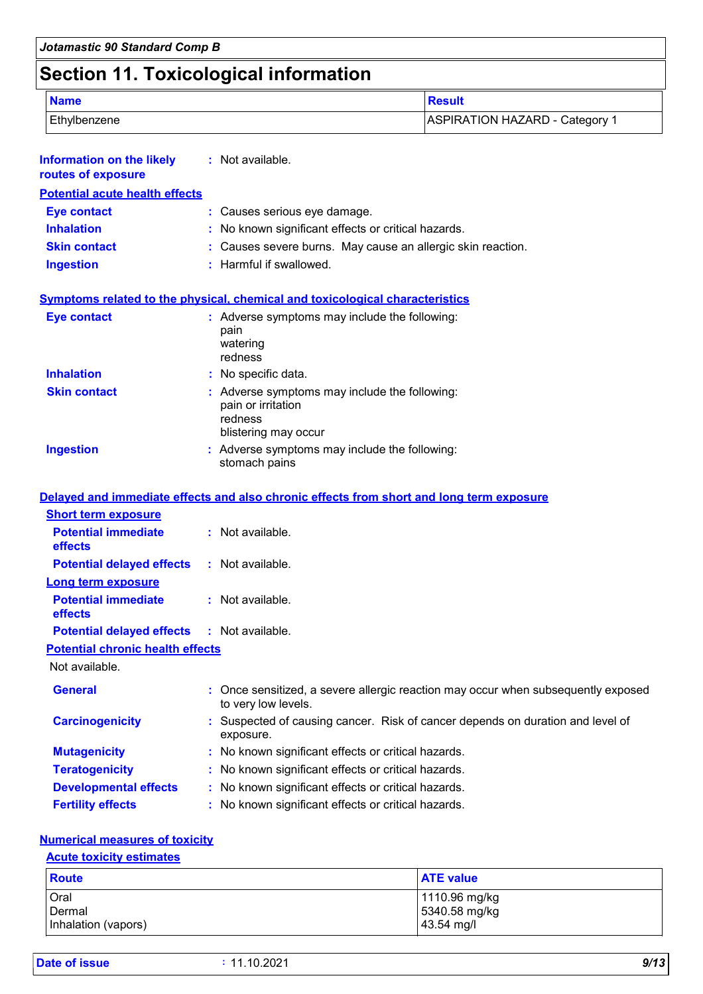# **Section 11. Toxicological information**

| <b>Name</b>  | Result                         |
|--------------|--------------------------------|
| Ethylbenzene | ASPIRATION HAZARD - Category 1 |

| <b>Information on the likely</b><br>routes of exposure | : Not available.                                                                                         |
|--------------------------------------------------------|----------------------------------------------------------------------------------------------------------|
| <b>Potential acute health effects</b>                  |                                                                                                          |
| <b>Eye contact</b>                                     | : Causes serious eye damage.                                                                             |
| <b>Inhalation</b>                                      | : No known significant effects or critical hazards.                                                      |
| <b>Skin contact</b>                                    | : Causes severe burns. May cause an allergic skin reaction.                                              |
| <b>Ingestion</b>                                       | : Harmful if swallowed.                                                                                  |
|                                                        | <b>Symptoms related to the physical, chemical and toxicological characteristics</b>                      |
| Eye contact                                            | : Adverse symptoms may include the following:<br>pain<br>watering<br>redness                             |
| <b>Inhalation</b>                                      | : No specific data.                                                                                      |
| <b>Skin contact</b>                                    | : Adverse symptoms may include the following:<br>pain or irritation<br>redness<br>blistering may occur   |
| <b>Ingestion</b>                                       | : Adverse symptoms may include the following:<br>stomach pains                                           |
|                                                        | Delayed and immediate effects and also chronic effects from short and long term exposure                 |
| <b>Short term exposure</b>                             |                                                                                                          |
| <b>Potential immediate</b><br>effects                  | : Not available.                                                                                         |
| <b>Potential delayed effects</b>                       | : Not available.                                                                                         |
| <b>Long term exposure</b>                              |                                                                                                          |
| <b>Potential immediate</b><br>effects                  | : Not available.                                                                                         |
| <b>Potential delayed effects</b>                       | : Not available.                                                                                         |
| <b>Potential chronic health effects</b>                |                                                                                                          |
| Not available.                                         |                                                                                                          |
| <b>General</b>                                         | : Once sensitized, a severe allergic reaction may occur when subsequently exposed<br>to very low levels. |
| <b>Carcinogenicity</b>                                 | : Suspected of causing cancer. Risk of cancer depends on duration and level of<br>exposure.              |
| <b>Mutagenicity</b>                                    | : No known significant effects or critical hazards.                                                      |

- **Teratogenicity :** No known significant effects or critical hazards.
- **Developmental effects :** No known significant effects or critical hazards.
- **Fertility effects :** No known significant effects or critical hazards.

#### **Numerical measures of toxicity**

#### **Acute toxicity estimates**

| <b>Route</b>        | <b>ATE value</b> |
|---------------------|------------------|
| Oral                | 1110.96 mg/kg    |
| Dermal              | 5340.58 mg/kg    |
| Inhalation (vapors) | 43.54 mg/l       |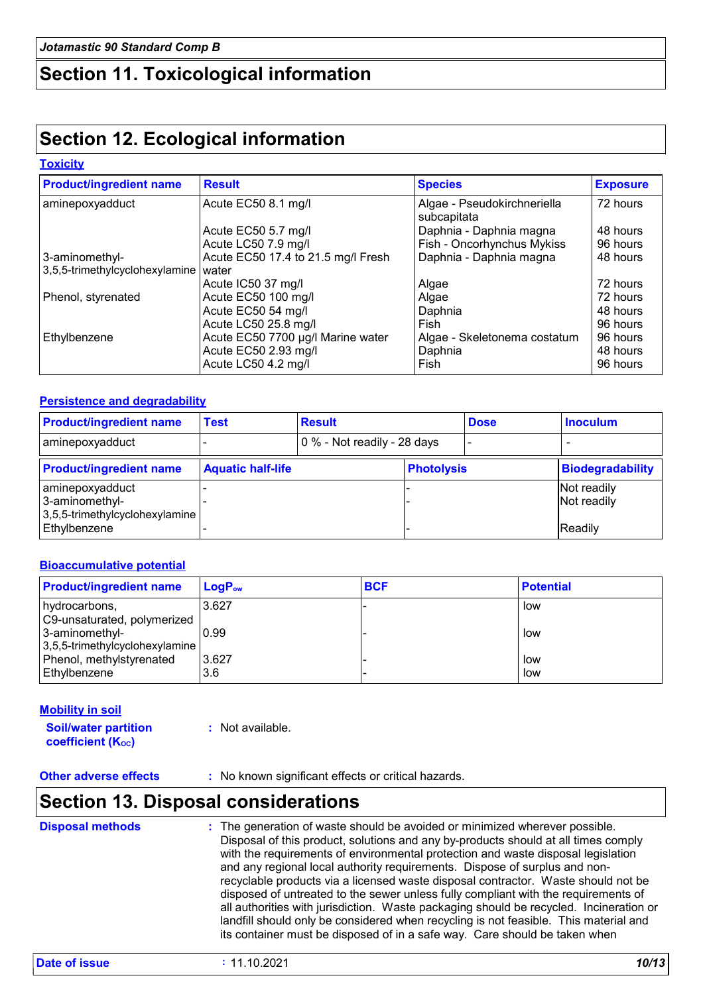## **Section 11. Toxicological information**

### **Section 12. Ecological information**

#### **Toxicity**

| <b>Product/ingredient name</b> | <b>Result</b>                      | <b>Species</b>               | <b>Exposure</b> |
|--------------------------------|------------------------------------|------------------------------|-----------------|
| aminepoxyadduct                | Acute EC50 8.1 mg/l                | Algae - Pseudokirchneriella  | 72 hours        |
|                                |                                    | subcapitata                  |                 |
|                                | Acute EC50 5.7 mg/l                | Daphnia - Daphnia magna      | 48 hours        |
|                                | Acute LC50 7.9 mg/l                | Fish - Oncorhynchus Mykiss   | 96 hours        |
| 3-aminomethyl-                 | Acute EC50 17.4 to 21.5 mg/l Fresh | Daphnia - Daphnia magna      | 48 hours        |
| 3,5,5-trimethylcyclohexylamine | water                              |                              |                 |
|                                | Acute IC50 37 mg/l                 | Algae                        | 72 hours        |
| Phenol, styrenated             | Acute EC50 100 mg/l                | Algae                        | 72 hours        |
|                                | Acute EC50 54 mg/l                 | Daphnia                      | 48 hours        |
|                                | Acute LC50 25.8 mg/l               | Fish                         | 96 hours        |
| Ethylbenzene                   | Acute EC50 7700 µg/l Marine water  | Algae - Skeletonema costatum | 96 hours        |
|                                | Acute EC50 2.93 mg/l               | Daphnia                      | 48 hours        |
|                                | Acute LC50 4.2 mg/l                | Fish                         | 96 hours        |

#### **Persistence and degradability**

| <b>Product/ingredient name</b>                                         | Test                     | <b>Result</b>               |                   | <b>Dose</b> | <b>Inoculum</b>            |
|------------------------------------------------------------------------|--------------------------|-----------------------------|-------------------|-------------|----------------------------|
| aminepoxyadduct                                                        |                          | 0 % - Not readily - 28 days |                   |             |                            |
| <b>Product/ingredient name</b>                                         | <b>Aquatic half-life</b> |                             | <b>Photolysis</b> |             | <b>Biodegradability</b>    |
| aminepoxyadduct<br>3-aminomethyl-<br>$3,5,5$ -trimethylcyclohexylamine |                          |                             |                   |             | Not readily<br>Not readily |
| Ethylbenzene                                                           |                          |                             |                   |             | <b>Readily</b>             |

#### **Bioaccumulative potential**

| <b>Product/ingredient name</b> | $LogP_{ow}$ | <b>BCF</b> | <b>Potential</b> |
|--------------------------------|-------------|------------|------------------|
| hydrocarbons,                  | 3.627       |            | low              |
| C9-unsaturated, polymerized    |             |            |                  |
| 3-aminomethyl-                 | 0.99        |            | low              |
| 3,5,5-trimethylcyclohexylamine |             |            |                  |
| Phenol, methylstyrenated       | 3.627       |            | low              |
| Ethylbenzene                   | 3.6         |            | low              |

#### **Mobility in soil**

**Soil/water partition**  coefficient (K<sub>oc</sub>)

**:** Not available.

**Other adverse effects** : No known significant effects or critical hazards.

### **Section 13. Disposal considerations**

| <b>Disposal methods</b> | : The generation of waste should be avoided or minimized wherever possible.<br>Disposal of this product, solutions and any by-products should at all times comply<br>with the requirements of environmental protection and waste disposal legislation<br>and any regional local authority requirements. Dispose of surplus and non-<br>recyclable products via a licensed waste disposal contractor. Waste should not be<br>disposed of untreated to the sewer unless fully compliant with the requirements of<br>all authorities with jurisdiction. Waste packaging should be recycled. Incineration or<br>landfill should only be considered when recycling is not feasible. This material and<br>its container must be disposed of in a safe way. Care should be taken when |
|-------------------------|--------------------------------------------------------------------------------------------------------------------------------------------------------------------------------------------------------------------------------------------------------------------------------------------------------------------------------------------------------------------------------------------------------------------------------------------------------------------------------------------------------------------------------------------------------------------------------------------------------------------------------------------------------------------------------------------------------------------------------------------------------------------------------|
|                         |                                                                                                                                                                                                                                                                                                                                                                                                                                                                                                                                                                                                                                                                                                                                                                                |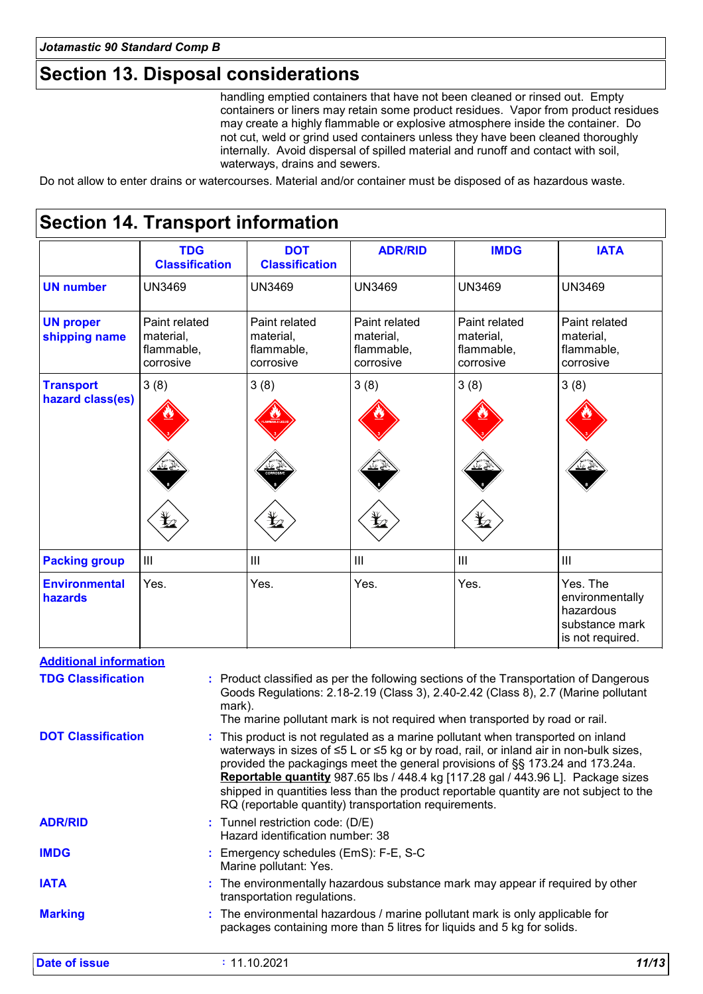# **Section 13. Disposal considerations**

handling emptied containers that have not been cleaned or rinsed out. Empty containers or liners may retain some product residues. Vapor from product residues may create a highly flammable or explosive atmosphere inside the container. Do not cut, weld or grind used containers unless they have been cleaned thoroughly internally. Avoid dispersal of spilled material and runoff and contact with soil, waterways, drains and sewers.

Do not allow to enter drains or watercourses. Material and/or container must be disposed of as hazardous waste.

#### **Section 14. Transport information** Paint related material, flammable, corrosive 3 (8) III Paint related material, flammable, corrosive 3 (8) III Paint related material, flammable, corrosive UN3469 3 (8) III UN3469 UN3469 **ADR/RID IMDG IATA UN number UN proper shipping name Transport hazard class(es) Packing group Environmental hazards** Yes. Yes. Yes. The environmentally hazardous substance mark is not required. **DOT Classification** UN3469 Paint related material, flammable, corrosive 3 (8) III Yes. **TDG Classification** UN3469 Paint related material, flammable, corrosive 3 (8) Yes. **Additional information**

| Auditional moderation     |                                                                                                                                                                                                                                                                                                                                                                                                                                                                                                           |
|---------------------------|-----------------------------------------------------------------------------------------------------------------------------------------------------------------------------------------------------------------------------------------------------------------------------------------------------------------------------------------------------------------------------------------------------------------------------------------------------------------------------------------------------------|
| <b>TDG Classification</b> | : Product classified as per the following sections of the Transportation of Dangerous<br>Goods Regulations: 2.18-2.19 (Class 3), 2.40-2.42 (Class 8), 2.7 (Marine pollutant<br>mark).<br>The marine pollutant mark is not required when transported by road or rail.                                                                                                                                                                                                                                      |
| <b>DOT Classification</b> | : This product is not regulated as a marine pollutant when transported on inland<br>waterways in sizes of ≤5 L or ≤5 kg or by road, rail, or inland air in non-bulk sizes,<br>provided the packagings meet the general provisions of §§ 173.24 and 173.24a.<br><b>Reportable quantity</b> 987.65 lbs / 448.4 kg [117.28 gal / 443.96 L]. Package sizes<br>shipped in quantities less than the product reportable quantity are not subject to the<br>RQ (reportable quantity) transportation requirements. |
| <b>ADR/RID</b>            | : Tunnel restriction code: (D/E)<br>Hazard identification number: 38                                                                                                                                                                                                                                                                                                                                                                                                                                      |
| <b>IMDG</b>               | : Emergency schedules (EmS): F-E, S-C<br>Marine pollutant: Yes.                                                                                                                                                                                                                                                                                                                                                                                                                                           |
| <b>IATA</b>               | : The environmentally hazardous substance mark may appear if required by other<br>transportation regulations.                                                                                                                                                                                                                                                                                                                                                                                             |
| <b>Marking</b>            | : The environmental hazardous / marine pollutant mark is only applicable for<br>packages containing more than 5 litres for liquids and 5 kg for solids.                                                                                                                                                                                                                                                                                                                                                   |
|                           |                                                                                                                                                                                                                                                                                                                                                                                                                                                                                                           |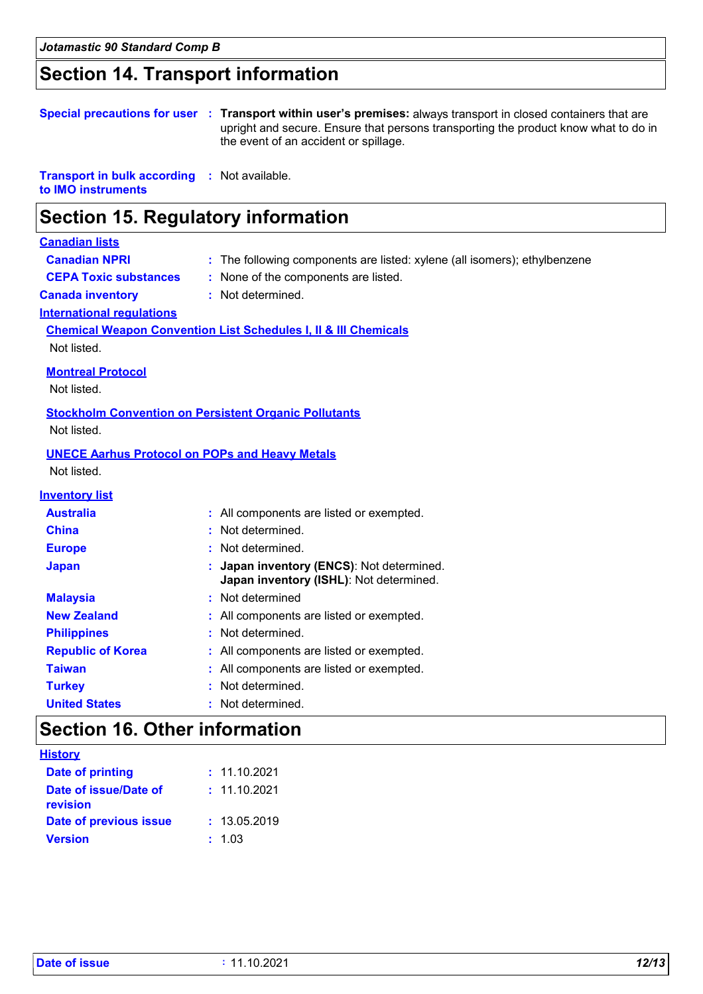# **Section 14. Transport information**

|                                                          | Special precautions for user : Transport within user's premises: always transport in closed containers that are<br>upright and secure. Ensure that persons transporting the product know what to do in<br>the event of an accident or spillage. |
|----------------------------------------------------------|-------------------------------------------------------------------------------------------------------------------------------------------------------------------------------------------------------------------------------------------------|
| <b>Transport in bulk according</b><br>to IMO instruments | : Not available.                                                                                                                                                                                                                                |
| <b>Section 15. Regulatory information</b>                |                                                                                                                                                                                                                                                 |
| <b>Canadian lists</b>                                    |                                                                                                                                                                                                                                                 |
| <b>Canadian NPRI</b>                                     | : The following components are listed: xylene (all isomers); ethylbenzene                                                                                                                                                                       |
| <b>CEPA Toxic substances</b>                             | : None of the components are listed.                                                                                                                                                                                                            |
| <b>Canada inventory</b>                                  | : Not determined.                                                                                                                                                                                                                               |
| <b>International regulations</b>                         |                                                                                                                                                                                                                                                 |
|                                                          | <b>Chemical Weapon Convention List Schedules I, II &amp; III Chemicals</b>                                                                                                                                                                      |
| Not listed.                                              |                                                                                                                                                                                                                                                 |
| <b>Montreal Protocol</b>                                 |                                                                                                                                                                                                                                                 |
| Not listed.                                              |                                                                                                                                                                                                                                                 |
|                                                          | <b>Stockholm Convention on Persistent Organic Pollutants</b>                                                                                                                                                                                    |
| Not listed.                                              |                                                                                                                                                                                                                                                 |
|                                                          |                                                                                                                                                                                                                                                 |
| <b>UNECE Aarhus Protocol on POPs and Heavy Metals</b>    |                                                                                                                                                                                                                                                 |
| Not listed.                                              |                                                                                                                                                                                                                                                 |
| <b>Inventory list</b>                                    |                                                                                                                                                                                                                                                 |
| <b>Australia</b>                                         | : All components are listed or exempted.                                                                                                                                                                                                        |
| <b>China</b>                                             | : Not determined.                                                                                                                                                                                                                               |
| <b>Europe</b>                                            | : Not determined.                                                                                                                                                                                                                               |
|                                                          |                                                                                                                                                                                                                                                 |

| Japan                    | : Japan inventory (ENCS): Not determined.<br>Japan inventory (ISHL): Not determined. |
|--------------------------|--------------------------------------------------------------------------------------|
| <b>Malaysia</b>          | : Not determined                                                                     |
| <b>New Zealand</b>       | : All components are listed or exempted.                                             |
| <b>Philippines</b>       | : Not determined.                                                                    |
| <b>Republic of Korea</b> | : All components are listed or exempted.                                             |
| <b>Taiwan</b>            | : All components are listed or exempted.                                             |
| <b>Turkey</b>            | : Not determined.                                                                    |
| <b>United States</b>     | : Not determined.                                                                    |

# **Section 16. Other information**

| <u>History</u>                    |              |
|-----------------------------------|--------------|
| <b>Date of printing</b>           | : 11.10.2021 |
| Date of issue/Date of<br>revision | : 11.10.2021 |
| Date of previous issue            | : 13.05.2019 |
| <b>Version</b>                    | : 1.03       |